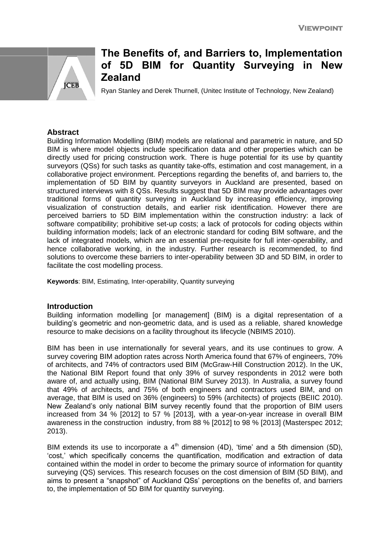

# **The Benefits of, and Barriers to, Implementation of 5D BIM for Quantity Surveying in New Zealand**

Ryan Stanley and Derek Thurnell, (Unitec Institute of Technology, New Zealand)

# **Abstract**

Building Information Modelling (BIM) models are relational and parametric in nature, and 5D BIM is where model objects include specification data and other properties which can be directly used for pricing construction work. There is huge potential for its use by quantity surveyors (QSs) for such tasks as quantity take-offs, estimation and cost management, in a collaborative project environment. Perceptions regarding the benefits of, and barriers to, the implementation of 5D BIM by quantity surveyors in Auckland are presented, based on structured interviews with 8 QSs. Results suggest that 5D BIM may provide advantages over traditional forms of quantity surveying in Auckland by increasing efficiency, improving visualization of construction details, and earlier risk identification. However there are perceived barriers to 5D BIM implementation within the construction industry: a lack of software compatibility; prohibitive set-up costs; a lack of protocols for coding objects within building information models; lack of an electronic standard for coding BIM software, and the lack of integrated models, which are an essential pre-requisite for full inter-operability, and hence collaborative working, in the industry. Further research is recommended, to find solutions to overcome these barriers to inter-operability between 3D and 5D BIM, in order to facilitate the cost modelling process.

**Keywords**: BIM, Estimating, Inter-operability, Quantity surveying

## **Introduction**

Building information modelling [or management] (BIM) is a digital representation of a building's geometric and non-geometric data, and is used as a reliable, shared knowledge resource to make decisions on a facility throughout its lifecycle (NBIMS 2010).

BIM has been in use internationally for several years, and its use continues to grow. A survey covering BIM adoption rates across North America found that 67% of engineers, 70% of architects, and 74% of contractors used BIM (McGraw-Hill Construction 2012). In the UK, the National BIM Report found that only 39% of survey respondents in 2012 were both aware of, and actually using, BIM (National BIM Survey 2013). In Australia, a survey found that 49% of architects, and 75% of both engineers and contractors used BIM, and on average, that BIM is used on 36% (engineers) to 59% (architects) of projects (BEIIC 2010). New Zealand's only national BIM survey recently found that the proportion of BIM users increased from 34 % [2012] to 57 % [2013], with a year-on-year increase in overall BIM awareness in the construction industry, from 88 % [2012] to 98 % [2013] (Masterspec 2012; 2013).

BIM extends its use to incorporate a  $4<sup>th</sup>$  dimension (4D), 'time' and a 5th dimension (5D), 'cost,' which specifically concerns the quantification, modification and extraction of data contained within the model in order to become the primary source of information for quantity surveying (QS) services. This research focuses on the cost dimension of BIM (5D BIM), and aims to present a "snapshot" of Auckland QSs' perceptions on the benefits of, and barriers to, the implementation of 5D BIM for quantity surveying.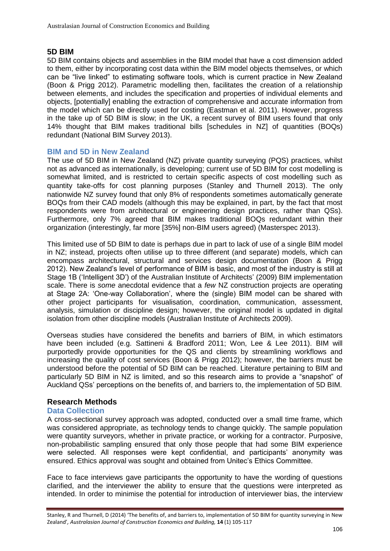# **5D BIM**

5D BIM contains objects and assemblies in the BIM model that have a cost dimension added to them, either by incorporating cost data within the BIM model objects themselves, or which can be "live linked" to estimating software tools, which is current practice in New Zealand (Boon & Prigg 2012). Parametric modelling then, facilitates the creation of a relationship between elements, and includes the specification and properties of individual elements and objects, [potentially] enabling the extraction of comprehensive and accurate information from the model which can be directly used for costing (Eastman et al. 2011). However, progress in the take up of 5D BIM is slow; in the UK, a recent survey of BIM users found that only 14% thought that BIM makes traditional bills [schedules in NZ] of quantities (BOQs) redundant (National BIM Survey 2013).

# **BIM and 5D in New Zealand**

The use of 5D BIM in New Zealand (NZ) private quantity surveying (PQS) practices, whilst not as advanced as internationally, is developing; current use of 5D BIM for cost modelling is somewhat limited, and is restricted to certain specific aspects of cost modelling such as quantity take-offs for cost planning purposes (Stanley and Thurnell 2013). The only nationwide NZ survey found that only 8% of respondents sometimes automatically generate BOQs from their CAD models (although this may be explained, in part, by the fact that most respondents were from architectural or engineering design practices, rather than QSs). Furthermore, only 7% agreed that BIM makes traditional BOQs redundant within their organization (interestingly, far more [35%] non-BIM users agreed) (Masterspec 2013).

This limited use of 5D BIM to date is perhaps due in part to lack of use of a single BIM model in NZ; instead, projects often utilise up to three different (and separate) models, which can encompass architectural, structural and services design documentation (Boon & Prigg 2012). New Zealand's level of performance of BIM is basic, and most of the industry is still at Stage 1B ('Intelligent 3D') of the Australian Institute of Architects' (2009) BIM implementation scale. There is *some* anecdotal evidence that a *few* NZ construction projects are operating at Stage 2A: 'One-way Collaboration', where the (single) BIM model can be shared with other project participants for visualisation, coordination, communication, assessment, analysis, simulation or discipline design; however, the original model is updated in digital isolation from other discipline models (Australian Institute of Architects 2009).

Overseas studies have considered the benefits and barriers of BIM, in which estimators have been included (e.g. Sattineni & Bradford 2011; Won, Lee & Lee 2011). BIM will purportedly provide opportunities for the QS and clients by streamlining workflows and increasing the quality of cost services (Boon & Prigg 2012); however, the barriers must be understood before the potential of 5D BIM can be reached. Literature pertaining to BIM and particularly 5D BIM in NZ is limited, and so this research aims to provide a "snapshot" of Auckland QSs' perceptions on the benefits of, and barriers to, the implementation of 5D BIM.

# **Research Methods**

## **Data Collection**

A cross-sectional survey approach was adopted, conducted over a small time frame, which was considered appropriate, as technology tends to change quickly. The sample population were quantity surveyors, whether in private practice, or working for a contractor. Purposive, non-probabilistic sampling ensured that only those people that had some BIM experience were selected. All responses were kept confidential, and participants' anonymity was ensured. Ethics approval was sought and obtained from Unitec's Ethics Committee.

Face to face interviews gave participants the opportunity to have the wording of questions clarified, and the interviewer the ability to ensure that the questions were interpreted as intended. In order to minimise the potential for introduction of interviewer bias, the interview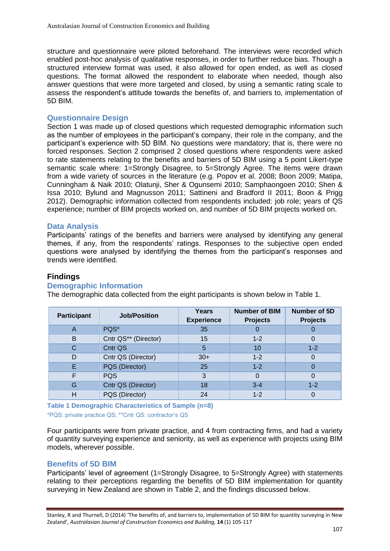structure and questionnaire were piloted beforehand. The interviews were recorded which enabled post-hoc analysis of qualitative responses, in order to further reduce bias. Though a structured interview format was used, it also allowed for open ended, as well as closed questions. The format allowed the respondent to elaborate when needed, though also answer questions that were more targeted and closed, by using a semantic rating scale to assess the respondent's attitude towards the benefits of, and barriers to, implementation of 5D BIM.

## **Questionnaire Design**

Section 1 was made up of closed questions which requested demographic information such as the number of employees in the participant's company, their role in the company, and the participant's experience with 5D BIM. No questions were mandatory; that is, there were no forced responses. Section 2 comprised 2 closed questions where respondents were asked to rate statements relating to the benefits and barriers of 5D BIM using a 5 point Likert-type semantic scale where: 1=Strongly Disagree, to 5=Strongly Agree. The items were drawn from a wide variety of sources in the literature (e.g. Popov et al. 2008; Boon 2009; Matipa, Cunningham & Naik 2010; Olatunji, Sher & Ogunsemi 2010; Samphaongoen 2010; Shen & Issa 2010; Bylund and Magnusson 2011; Sattineni and Bradford II 2011; Boon & Prigg 2012). Demographic information collected from respondents included: job role; years of QS experience; number of BIM projects worked on, and number of 5D BIM projects worked on.

#### **Data Analysis**

Participants' ratings of the benefits and barriers were analysed by identifying any general themes, if any, from the respondents' ratings. Responses to the subjective open ended questions were analysed by identifying the themes from the participant's responses and trends were identified.

#### **Findings**

#### **Demographic Information**

**Participant Job/Position Years Experience Number of BIM Projects Number of 5D Projects** A PQS\* 35 0 0 B Cntr QS\*\* (Director) 15 1-2 0 C Cntr QS 5 10 1-2 D Cntr QS (Director) 30+ 1-2 0 E PQS (Director) 25 1-2 0 F | PQS | 3 | 0 | 0 G Cntr QS (Director) 18 3-4 1-2

The demographic data collected from the eight participants is shown below in Table 1.

**Table 1 Demographic Characteristics of Sample (n=8)** \*PQS: private practice QS; \*\*Cntr QS: contractor's QS

Four participants were from private practice, and 4 from contracting firms, and had a variety of quantity surveying experience and seniority, as well as experience with projects using BIM models, wherever possible.

H PQS (Director) 24 1-2 0

# **Benefits of 5D BIM**

Participants' level of agreement (1=Strongly Disagree, to 5=Strongly Agree) with statements relating to their perceptions regarding the benefits of 5D BIM implementation for quantity surveying in New Zealand are shown in Table 2, and the findings discussed below.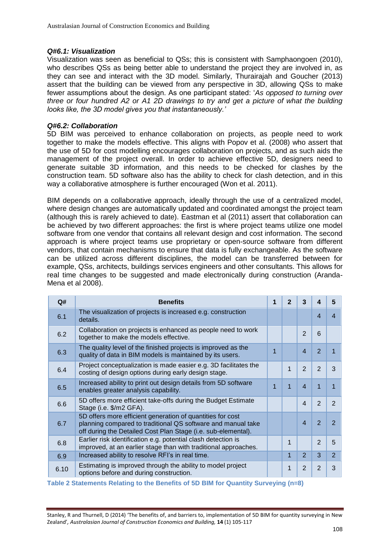## *Q#6.1: Visualization*

Visualization was seen as beneficial to QSs; this is consistent with Samphaongoen (2010), who describes QSs as being better able to understand the project they are involved in, as they can see and interact with the 3D model. Similarly, Thurairajah and Goucher (2013) assert that the building can be viewed from any perspective in 3D, allowing QSs to make fewer assumptions about the design. As one participant stated: '*As opposed to turning over three or four hundred A2 or A1 2D drawings to try and get a picture of what the building looks like, the 3D model gives you that instantaneously.'*

# *Q#6.2: Collaboration*

5D BIM was perceived to enhance collaboration on projects, as people need to work together to make the models effective. This aligns with Popov et al. (2008) who assert that the use of 5D for cost modelling encourages collaboration on projects, and as such aids the management of the project overall. In order to achieve effective 5D, designers need to generate suitable 3D information, and this needs to be checked for clashes by the construction team. 5D software also has the ability to check for clash detection, and in this way a collaborative atmosphere is further encouraged (Won et al. 2011).

BIM depends on a collaborative approach, ideally through the use of a centralized model, where design changes are automatically updated and coordinated amongst the project team (although this is rarely achieved to date). Eastman et al (2011) assert that collaboration can be achieved by two different approaches: the first is where project teams utilize one model software from one vendor that contains all relevant design and cost information. The second approach is where project teams use proprietary or open-source software from different vendors, that contain mechanisms to ensure that data is fully exchangeable. As the software can be utilized across different disciplines, the model can be transferred between for example, QSs, architects, buildings services engineers and other consultants. This allows for real time changes to be suggested and made electronically during construction (Aranda-Mena et al 2008).

| Q#   | <b>Benefits</b>                                                                                                                                                                             | 1 | $\mathbf{2}$ | 3                     |                | 5              |
|------|---------------------------------------------------------------------------------------------------------------------------------------------------------------------------------------------|---|--------------|-----------------------|----------------|----------------|
| 6.1  | The visualization of projects is increased e.g. construction<br>details.                                                                                                                    |   |              |                       | 4              | 4              |
| 6.2  | Collaboration on projects is enhanced as people need to work<br>together to make the models effective.                                                                                      |   |              | $\mathcal{P}$         | 6              |                |
| 6.3  | The quality level of the finished projects is improved as the<br>quality of data in BIM models is maintained by its users.                                                                  | 1 |              | 4                     | $\mathcal{P}$  |                |
| 6.4  | Project conceptualization is made easier e.g. 3D facilitates the<br>costing of design options during early design stage.                                                                    |   | 1            | $\mathcal{P}$         | $\mathcal{P}$  | 3              |
| 6.5  | Increased ability to print out design details from 5D software<br>enables greater analysis capability.                                                                                      | 1 | 1            | 4                     |                |                |
| 6.6  | 5D offers more efficient take-offs during the Budget Estimate<br>Stage (i.e. \$/m2 GFA).                                                                                                    |   |              | 4                     | $\mathcal{P}$  | $\mathcal{P}$  |
| 6.7  | 5D offers more efficient generation of quantities for cost<br>planning compared to traditional QS software and manual take<br>off during the Detailed Cost Plan Stage (i.e. sub-elemental). |   |              | $\boldsymbol{\Delta}$ | $\overline{2}$ | $\mathcal{P}$  |
| 6.8  | Earlier risk identification e.g. potential clash detection is<br>improved, at an earlier stage than with traditional approaches.                                                            |   | 1            |                       | $\mathcal{P}$  | 5              |
| 6.9  | Increased ability to resolve RFI's in real time.                                                                                                                                            |   | 1            | $\overline{2}$        | 3              | $\overline{2}$ |
| 6.10 | Estimating is improved through the ability to model project<br>options before and during construction.                                                                                      |   | 1            | $\overline{2}$        | $\mathcal{P}$  | 3              |

**Table 2 Statements Relating to the Benefits of 5D BIM for Quantity Surveying (n=8)**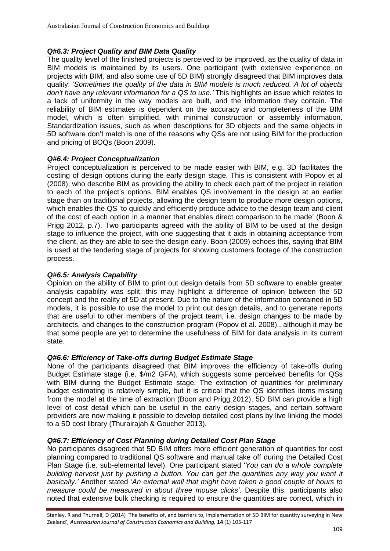# *Q#6.3: Project Quality and BIM Data Quality*

The quality level of the finished projects is perceived to be improved, as the quality of data in BIM models is maintained by its users. One participant (with extensive experience on projects with BIM, and also some use of 5D BIM) strongly disagreed that BIM improves data quality: '*Sometimes the quality of the data in BIM models is much reduced. A lot of objects don't have any relevant information for a QS to use.'* This highlights an issue which relates to a lack of uniformity in the way models are built, and the information they contain. The reliability of BIM estimates is dependent on the accuracy and completeness of the BIM model, which is often simplified, with minimal construction or assembly information. Standardization issues, such as when descriptions for 3D objects and the same objects in 5D software don't match is one of the reasons why QSs are not using BIM for the production and pricing of BOQs (Boon 2009).

# *Q#6.4: Project Conceptualization*

Project conceptualization is perceived to be made easier with BIM, e.g. 3D facilitates the costing of design options during the early design stage. This is consistent with Popov et al (2008), who describe BIM as providing the ability to check each part of the project in relation to each of the project's options. BIM enables QS involvement in the design at an earlier stage than on traditional projects, allowing the design team to produce more design options, which enables the QS 'to quickly and efficiently produce advice to the design team and client of the cost of each option in a manner that enables direct comparison to be made' (Boon & Prigg 2012, p.7). Two participants agreed with the ability of BIM to be used at the design stage to influence the project, with one suggesting that it aids in obtaining acceptance from the client, as they are able to see the design early. Boon (2009) echoes this, saying that BIM is used at the tendering stage of projects for showing customers footage of the construction process.

# *Q#6.5: Analysis Capability*

Opinion on the ability of BIM to print out design details from 5D software to enable greater analysis capability was split; this may highlight a difference of opinion between the 5D concept and the reality of 5D at present. Due to the nature of the information contained in 5D models, it is possible to use the model to print out design details, and to generate reports that are useful to other members of the project team, i.e. design changes to be made by architects, and changes to the construction program (Popov et al. 2008)., although it may be that some people are yet to determine the usefulness of BIM for data analysis in its current state.

# *Q#6.6: Efficiency of Take-offs during Budget Estimate Stage*

None of the participants disagreed that BIM improves the efficiency of take-offs during Budget Estimate stage (i.e. \$/m2 GFA), which suggests some perceived benefits for QSs with BIM during the Budget Estimate stage. The extraction of quantities for preliminary budget estimating is relatively simple, but it is critical that the QS identifies items missing from the model at the time of extraction (Boon and Prigg 2012). 5D BIM can provide a high level of cost detail which can be useful in the early design stages, and certain software providers are now making it possible to develop detailed cost plans by live linking the model to a 5D cost library (Thurairajah & Goucher 2013).

# *Q#6.7: Efficiency of Cost Planning during Detailed Cost Plan Stage*

No participants disagreed that 5D BIM offers more efficient generation of quantities for cost planning compared to traditional QS software and manual take off during the Detailed Cost Plan Stage (i.e. sub-elemental level). One participant stated '*You can do a whole complete building harvest just by pushing a button. You can get the quantities any way you want it basically.'* Another stated '*An external wall that might have taken a good couple of hours to measure could be measured in about three mouse clicks'*. Despite this, participants also noted that extensive bulk checking is required to ensure the quantities are correct, which in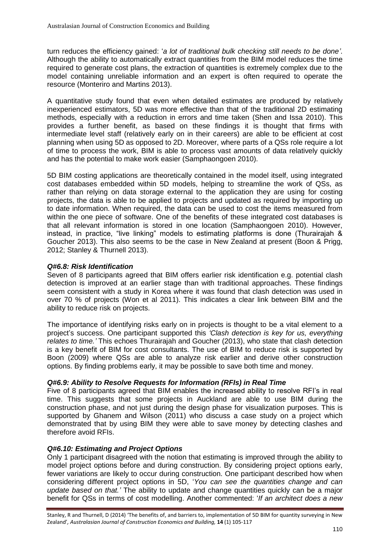turn reduces the efficiency gained: '*a lot of traditional bulk checking still needs to be done'*. Although the ability to automatically extract quantities from the BIM model reduces the time required to generate cost plans, the extraction of quantities is extremely complex due to the model containing unreliable information and an expert is often required to operate the resource (Monteriro and Martins 2013).

A quantitative study found that even when detailed estimates are produced by relatively inexperienced estimators, 5D was more effective than that of the traditional 2D estimating methods, especially with a reduction in errors and time taken (Shen and Issa 2010). This provides a further benefit, as based on these findings it is thought that firms with intermediate level staff (relatively early on in their careers) are able to be efficient at cost planning when using 5D as opposed to 2D. Moreover, where parts of a QSs role require a lot of time to process the work, BIM is able to process vast amounts of data relatively quickly and has the potential to make work easier (Samphaongoen 2010).

5D BIM costing applications are theoretically contained in the model itself, using integrated cost databases embedded within 5D models, helping to streamline the work of QSs, as rather than relying on data storage external to the application they are using for costing projects, the data is able to be applied to projects and updated as required by importing up to date information. When required, the data can be used to cost the items measured from within the one piece of software. One of the benefits of these integrated cost databases is that all relevant information is stored in one location (Samphaongoen 2010). However, instead, in practice, "live linking" models to estimating platforms is done (Thurairajah & Goucher 2013). This also seems to be the case in New Zealand at present (Boon & Prigg, 2012; Stanley & Thurnell 2013).

#### *Q#6.8: Risk Identification*

Seven of 8 participants agreed that BIM offers earlier risk identification e.g. potential clash detection is improved at an earlier stage than with traditional approaches. These findings seem consistent with a study in Korea where it was found that clash detection was used in over 70 % of projects (Won et al 2011). This indicates a clear link between BIM and the ability to reduce risk on projects.

The importance of identifying risks early on in projects is thought to be a vital element to a project's success. One participant supported this *'Clash detection is key for us, everything relates to time.'* This echoes Thurairajah and Goucher (2013), who state that clash detection is a key benefit of BIM for cost consultants. The use of BIM to reduce risk is supported by Boon (2009) where QSs are able to analyze risk earlier and derive other construction options. By finding problems early, it may be possible to save both time and money.

## *Q#6.9: Ability to Resolve Requests for Information (RFIs) in Real Time*

Five of 8 participants agreed that BIM enables the increased ability to resolve RFI's in real time. This suggests that some projects in Auckland are able to use BIM during the construction phase, and not just during the design phase for visualization purposes. This is supported by Ghanem and Wilson (2011) who discuss a case study on a project which demonstrated that by using BIM they were able to save money by detecting clashes and therefore avoid RFIs.

## *Q#6.10: Estimating and Project Options*

Only 1 participant disagreed with the notion that estimating is improved through the ability to model project options before and during construction. By considering project options early, fewer variations are likely to occur during construction. One participant described how when considering different project options in 5D, '*You can see the quantities change and can update based on that.'* The ability to update and change quantities quickly can be a major benefit for QSs in terms of cost modelling. Another commented: '*If an architect does a new*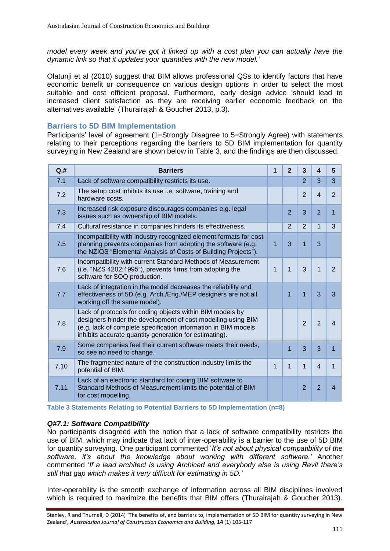*model every week and you've got it linked up with a cost plan you can actually have the dynamic link so that it updates your quantities with the new model.'*

Olatunji et al (2010) suggest that BIM allows professional QSs to identify factors that have economic benefit or consequence on various design options in order to select the most suitable and cost efficient proposal. Furthermore, early design advice 'should lead to increased client satisfaction as they are receiving earlier economic feedback on the alternatives available' (Thurairajah & Goucher 2013, p.3).

# **Barriers to 5D BIM Implementation**

Participants' level of agreement (1=Strongly Disagree to 5=Strongly Agree) with statements relating to their perceptions regarding the barriers to 5D BIM implementation for quantity surveying in New Zealand are shown below in Table 3, and the findings are then discussed.

| Q.H  | <b>Barriers</b>                                                                                                                                                                                                                                       | 1              | $\overline{2}$ | 3              | 4                       | 5                        |
|------|-------------------------------------------------------------------------------------------------------------------------------------------------------------------------------------------------------------------------------------------------------|----------------|----------------|----------------|-------------------------|--------------------------|
| 7.1  | Lack of software compatibility restricts its use.                                                                                                                                                                                                     |                |                | $\overline{2}$ | 3                       | 3                        |
| 7.2  | The setup cost inhibits its use i.e. software, training and<br>hardware costs.                                                                                                                                                                        |                |                | $\overline{2}$ | 4                       | $\overline{2}$           |
| 7.3  | Increased risk exposure discourages companies e.g. legal<br>issues such as ownership of BIM models.                                                                                                                                                   |                | $\overline{2}$ | 3              | $\overline{2}$          | 1                        |
| 7.4  | Cultural resistance in companies hinders its effectiveness.                                                                                                                                                                                           |                | 2              | $\overline{2}$ | 1                       | 3                        |
| 7.5  | Incompatibility with industry recognized element formats for cost<br>planning prevents companies from adopting the software (e.g.<br>the NZIQS "Elemental Analysis of Costs of Building Projects").                                                   | $\overline{1}$ | 3              | 1              | 3                       |                          |
| 7.6  | Incompatibility with current Standard Methods of Measurement<br>(i.e. "NZS 4202:1995"), prevents firms from adopting the<br>software for SOQ production.                                                                                              | $\mathbf{1}$   | $\mathbf{1}$   | 3              | 1                       | $\overline{2}$           |
| 7.7  | Lack of integration in the model decreases the reliability and<br>effectiveness of 5D (e.g. Arch./Eng./MEP designers are not all<br>working off the same model).                                                                                      |                | 1              | 1              | 3                       | 3                        |
| 7.8  | Lack of protocols for coding objects within BIM models by<br>designers hinder the development of cost modelling using BIM<br>(e.g. lack of complete specification information in BIM models<br>inhibits accurate quantity generation for estimating). |                |                | $\overline{2}$ | $\overline{2}$          | $\boldsymbol{4}$         |
| 7.9  | Some companies feel their current software meets their needs,<br>so see no need to change.                                                                                                                                                            |                | 1              | 3              | 3                       | 1                        |
| 7.10 | The fragmented nature of the construction industry limits the<br>potential of BIM.                                                                                                                                                                    | $\mathbf{1}$   | $\mathbf{1}$   | $\mathbf{1}$   | $\overline{\mathbf{4}}$ | $\mathbf{1}$             |
| 7.11 | Lack of an electronic standard for coding BIM software to<br>Standard Methods of Measurement limits the potential of BIM<br>for cost modelling.                                                                                                       |                |                | $\overline{2}$ | $\overline{2}$          | $\overline{\mathcal{A}}$ |

**Table 3 Statements Relating to Potential Barriers to 5D Implementation (n=8)**

## *Q#7.1: Software Compatibility*

No participants disagreed with the notion that a lack of software compatibility restricts the use of BIM, which may indicate that lack of inter-operability is a barrier to the use of 5D BIM for quantity surveying. One participant commented '*It's not about physical compatibility of the software, it's about the knowledge about working with different software.'* Another commented '*If a lead architect is using Archicad and everybody else is using Revit there's still that gap which makes it very difficult for estimating in 5D.'*

Inter-operability is the smooth exchange of information across all BIM disciplines involved which is required to maximize the benefits that BIM offers (Thurairajah & Goucher 2013).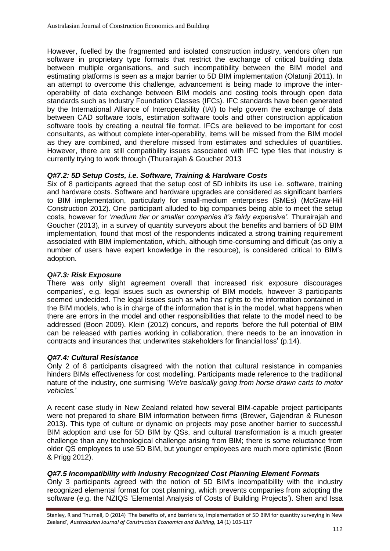However, fuelled by the fragmented and isolated construction industry, vendors often run software in proprietary type formats that restrict the exchange of critical building data between multiple organisations, and such incompatibility between the BIM model and estimating platforms is seen as a major barrier to 5D BIM implementation (Olatunji 2011). In an attempt to overcome this challenge, advancement is being made to improve the interoperability of data exchange between BIM models and costing tools through open data standards such as Industry Foundation Classes (IFCs). IFC standards have been generated by the International Alliance of Interoperability (IAI) to help govern the exchange of data between CAD software tools, estimation software tools and other construction application software tools by creating a neutral file format. IFCs are believed to be important for cost consultants, as without complete inter-operability, items will be missed from the BIM model as they are combined, and therefore missed from estimates and schedules of quantities. However, there are still compatibility issues associated with IFC type files that industry is currently trying to work through (Thurairajah & Goucher 2013

#### *Q#7.2: 5D Setup Costs, i.e. Software, Training & Hardware Costs*

Six of 8 participants agreed that the setup cost of 5D inhibits its use i.e. software, training and hardware costs. Software and hardware upgrades are considered as significant barriers to BIM implementation, particularly for small-medium enterprises (SMEs) (McGraw-Hill Construction 2012). One participant alluded to big companies being able to meet the setup costs, however for '*medium tier or smaller companies it's fairly expensive'.* Thurairajah and Goucher (2013), in a survey of quantity surveyors about the benefits and barriers of 5D BIM implementation, found that most of the respondents indicated a strong training requirement associated with BIM implementation, which, although time-consuming and difficult (as only a number of users have expert knowledge in the resource), is considered critical to BIM's adoption.

#### *Q#7.3: Risk Exposure*

There was only slight agreement overall that increased risk exposure discourages companies', e.g. legal issues such as ownership of BIM models, however 3 participants seemed undecided. The legal issues such as who has rights to the information contained in the BIM models, who is in charge of the information that is in the model, what happens when there are errors in the model and other responsibilities that relate to the model need to be addressed (Boon 2009). Klein (2012) concurs, and reports 'before the full potential of BIM can be released with parties working in collaboration, there needs to be an innovation in contracts and insurances that underwrites stakeholders for financial loss' (p.14).

## *Q#7.4: Cultural Resistance*

Only 2 of 8 participants disagreed with the notion that cultural resistance in companies hinders BIMs effectiveness for cost modelling. Participants made reference to the traditional nature of the industry, one surmising '*We're basically going from horse drawn carts to motor vehicles.*'

A recent case study in New Zealand related how several BIM-capable project participants were not prepared to share BIM information between firms (Brewer, Gajendran & Runeson 2013). This type of culture or dynamic on projects may pose another barrier to successful BIM adoption and use for 5D BIM by QSs, and cultural transformation is a much greater challenge than any technological challenge arising from BIM; there is some reluctance from older QS employees to use 5D BIM, but younger employees are much more optimistic (Boon & Prigg 2012).

## *Q#7.5 Incompatibility with Industry Recognized Cost Planning Element Formats*

Only 3 participants agreed with the notion of 5D BIM's incompatibility with the industry recognized elemental format for cost planning, which prevents companies from adopting the software (e.g. the NZIQS 'Elemental Analysis of Costs of Building Projects'). Shen and Issa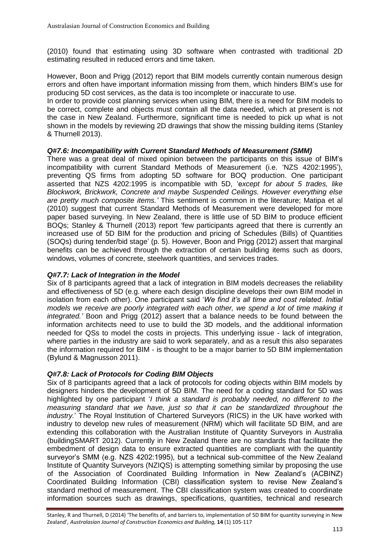(2010) found that estimating using 3D software when contrasted with traditional 2D estimating resulted in reduced errors and time taken.

However, Boon and Prigg (2012) report that BIM models currently contain numerous design errors and often have important information missing from them, which hinders BIM's use for producing 5D cost services, as the data is too incomplete or inaccurate to use.

In order to provide cost planning services when using BIM, there is a need for BIM models to be correct, complete and objects must contain all the data needed, which at present is not the case in New Zealand. Furthermore, significant time is needed to pick up what is not shown in the models by reviewing 2D drawings that show the missing building items (Stanley & Thurnell 2013).

## *Q#7.6: Incompatibility with Current Standard Methods of Measurement (SMM)*

There was a great deal of mixed opinion between the participants on this issue of BIM's incompatibility with current Standard Methods of Measurement (i.e. 'NZS 4202:1995'), preventing QS firms from adopting 5D software for BOQ production. One participant asserted that NZS 4202:1995 is incompatible with 5D, 'e*xcept for about 5 trades, like Blockwork, Brickwork, Concrete and maybe Suspended Ceilings. However everything else are pretty much composite items.'* This sentiment is common in the literature; Matipa et al (2010) suggest that current Standard Methods of Measurement were developed for more paper based surveying. In New Zealand, there is little use of 5D BIM to produce efficient BOQs; Stanley & Thurnell (2013) report 'few participants agreed that there is currently an increased use of 5D BIM for the production and pricing of Schedules (Bills) of Quantities (SOQs) during tender/bid stage' (p. 5). However, Boon and Prigg (2012) assert that marginal benefits can be achieved through the extraction of certain building items such as doors, windows, volumes of concrete, steelwork quantities, and services trades.

## *Q#7.7: Lack of Integration in the Model*

Six of 8 participants agreed that a lack of integration in BIM models decreases the reliability and effectiveness of 5D (e.g. where each design discipline develops their own BIM model in isolation from each other). One participant said '*We find it's all time and cost related. Initial models we receive are poorly integrated with each other, we spend a lot of time making it integrated.'* Boon and Prigg (2012) assert that a balance needs to be found between the information architects need to use to build the 3D models, and the additional information needed for QSs to model the costs in projects. This underlying issue - lack of integration, where parties in the industry are said to work separately, and as a result this also separates the information required for BIM - is thought to be a major barrier to 5D BIM implementation (Bylund & Magnusson 2011).

## *Q#7.8: Lack of Protocols for Coding BIM Objects*

Six of 8 participants agreed that a lack of protocols for coding objects within BIM models by designers hinders the development of 5D BIM. The need for a coding standard for 5D was highlighted by one participant '*I think a standard is probably needed, no different to the measuring standard that we have, just so that it can be standardized throughout the industry.*' The Royal Institution of Chartered Surveyors (RICS) in the UK have worked with industry to develop new rules of measurement (NRM) which will facilitate 5D BIM, and are extending this collaboration with the Australian Institute of Quantity Surveyors in Australia (buildingSMART 2012). Currently in New Zealand there are no standards that facilitate the embedment of design data to ensure extracted quantities are compliant with the quantity surveyor's SMM (e.g. NZS 4202:1995), but a technical sub-committee of the New Zealand Institute of Quantity Surveyors (NZIQS) is attempting something similar by proposing the use of the Association of Coordinated Building Information in New Zealand's (ACBINZ) Coordinated Building Information (CBI) classification system to revise New Zealand's standard method of measurement. The CBI classification system was created to coordinate information sources such as drawings, specifications, quantities, technical and research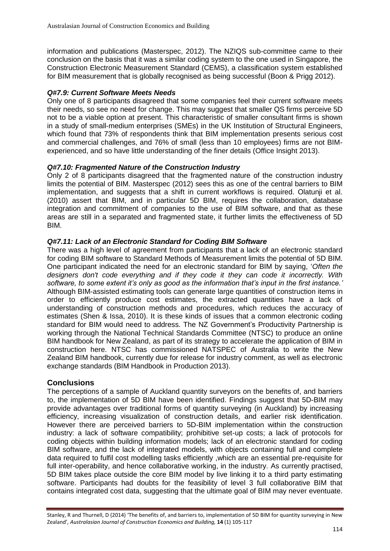information and publications (Masterspec, 2012). The NZIQS sub-committee came to their conclusion on the basis that it was a similar coding system to the one used in Singapore, the Construction Electronic Measurement Standard (CEMS), a classification system established for BIM measurement that is globally recognised as being successful (Boon & Prigg 2012).

# *Q#7.9: Current Software Meets Needs*

Only one of 8 participants disagreed that some companies feel their current software meets their needs, so see no need for change. This may suggest that smaller QS firms perceive 5D not to be a viable option at present. This characteristic of smaller consultant firms is shown in a study of small-medium enterprises (SMEs) in the UK Institution of Structural Engineers, which found that 73% of respondents think that BIM implementation presents serious cost and commercial challenges, and 76% of small (less than 10 employees) firms are not BIMexperienced, and so have little understanding of the finer details (Office Insight 2013).

# *Q#7.10: Fragmented Nature of the Construction Industry*

Only 2 of 8 participants disagreed that the fragmented nature of the construction industry limits the potential of BIM. Masterspec (2012) sees this as one of the central barriers to BIM implementation, and suggests that a shift in current workflows is required. Olatunji et al. (2010) assert that BIM, and in particular 5D BIM, requires the collaboration, database integration and commitment of companies to the use of BIM software, and that as these areas are still in a separated and fragmented state, it further limits the effectiveness of 5D BIM.

# *Q#7.11: Lack of an Electronic Standard for Coding BIM Software*

There was a high level of agreement from participants that a lack of an electronic standard for coding BIM software to Standard Methods of Measurement limits the potential of 5D BIM. One participant indicated the need for an electronic standard for BIM by saying, '*Often the designers don't code everything and if they code it they can code it incorrectly. With software, to some extent it's only as good as the information that's input in the first instance.'*  Although BIM-assisted estimating tools can generate large quantities of construction items in order to efficiently produce cost estimates, the extracted quantities have a lack of understanding of construction methods and procedures, which reduces the accuracy of estimates (Shen & Issa, 2010). It is these kinds of issues that a common electronic coding standard for BIM would need to address. The NZ Government's Productivity Partnership is working through the National Technical Standards Committee (NTSC) to produce an online BIM handbook for New Zealand, as part of its strategy to accelerate the application of BIM in construction here. NTSC has commissioned NATSPEC of Australia to write the New Zealand BIM handbook, currently due for release for industry comment, as well as electronic exchange standards (BIM Handbook in Production 2013).

# **Conclusions**

The perceptions of a sample of Auckland quantity surveyors on the benefits of, and barriers to, the implementation of 5D BIM have been identified. Findings suggest that 5D-BIM may provide advantages over traditional forms of quantity surveying (in Auckland) by increasing efficiency, increasing visualization of construction details, and earlier risk identification. However there are perceived barriers to 5D-BIM implementation within the construction industry: a lack of software compatibility; prohibitive set-up costs; a lack of protocols for coding objects within building information models; lack of an electronic standard for coding BIM software, and the lack of integrated models, with objects containing full and complete data required to fulfil cost modelling tasks efficiently ,which are an essential pre-requisite for full inter-operability, and hence collaborative working, in the industry. As currently practised, 5D BIM takes place outside the core BIM model by live linking it to a third party estimating software. Participants had doubts for the feasibility of level 3 full collaborative BIM that contains integrated cost data, suggesting that the ultimate goal of BIM may never eventuate.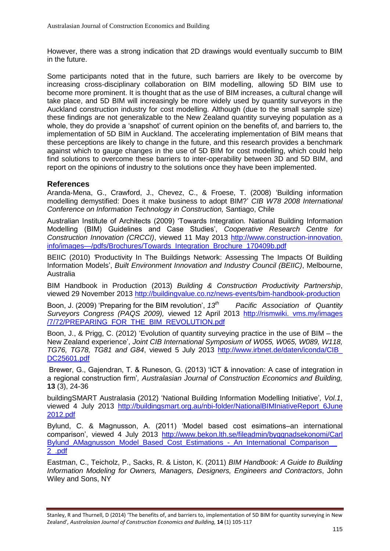However, there was a strong indication that 2D drawings would eventually succumb to BIM in the future.

Some participants noted that in the future, such barriers are likely to be overcome by increasing cross-disciplinary collaboration on BIM modelling, allowing 5D BIM use to become more prominent. It is thought that as the use of BIM increases, a cultural change will take place, and 5D BIM will increasingly be more widely used by quantity surveyors in the Auckland construction industry for cost modelling. Although (due to the small sample size) these findings are not generalizable to the New Zealand quantity surveying population as a whole, they do provide a 'snapshot' of current opinion on the benefits of, and barriers to, the implementation of 5D BIM in Auckland. The accelerating implementation of BIM means that these perceptions are likely to change in the future, and this research provides a benchmark against which to gauge changes in the use of 5D BIM for cost modelling, which could help find solutions to overcome these barriers to inter-operability between 3D and 5D BIM, and report on the opinions of industry to the solutions once they have been implemented.

## **References**

Aranda-Mena, G., Crawford, J., Chevez, C., & Froese, T. (2008) 'Building information modelling demystified: Does it make business to adopt BIM?' *CIB W78 2008 International Conference on Information Technology in Construction,* Santiago, Chile

Australian Institute of Architects (2009) 'Towards Integration*.* National Building Information Modelling (BIM) Guidelines and Case Studies', *Cooperative Research Centre for Construction Innovation (CRCCI)*, viewed 11 May 2013 [http://www.construction-innovation.](http://www.construction-innovation.info/images/pdfs/Brochures/Towards_Integration_Brochure_170409b.pdf) [info/images—/pdfs/Brochures/Towards\\_Integration\\_Brochure\\_170409b.pdf](http://www.construction-innovation.info/images/pdfs/Brochures/Towards_Integration_Brochure_170409b.pdf)

BEIIC (2010) *'*Productivity In The Buildings Network: Assessing The Impacts Of Building Information Models', *Built Environment Innovation and Industry Council (BEIIC)*, Melbourne, Australia

BIM Handbook in Production (2013) *Building & Construction Productivity Partnership*, viewed 29 November 2013 <http://buildingvalue.co.nz/news-events/bim-handbook-production>

Boon, J. (2009) 'Preparing for the BIM revolution', *13th Pacific Association of Quantity Surveyors Congress (PAQS 2009),* viewed 12 April 2013 http://rismwiki. [vms.my/images](http://‌/‌‌rismwiki.%20vms.my‌‌‌‌‌‌/images‌‌/7/72/‌‌‌‌‌‌‌‌PRE‌‌PARING‌‌_FOR‌‌‌‌_THE_BIM_‌‌REVOLUTION‌‌‌‌.pdf) [/7/72/PREPARING\\_FOR\\_THE\\_BIM\\_REVOLUTION.pdf](http://‌/‌‌rismwiki.%20vms.my‌‌‌‌‌‌/images‌‌/7/72/‌‌‌‌‌‌‌‌PRE‌‌PARING‌‌_FOR‌‌‌‌_THE_BIM_‌‌REVOLUTION‌‌‌‌.pdf)

Boon, J., & Prigg, C. (2012) 'Evolution of quantity surveying practice in the use of BIM – the New Zealand experience', *Joint CIB International Symposium of W055, W065, W089, W118, TG76, TG78, TG81 and G84*, viewed 5 July 2013 [http://www.irbnet.de/daten/iconda/CIB\\_](http://‌/‌ww‌w.‌irb‌net.de‌/da‌ten‌/ico‌nda‌/CIB‌_‌DC25601‌.pdf) [DC25601.pdf](http://‌/‌ww‌w.‌irb‌net.de‌/da‌ten‌/ico‌nda‌/CIB‌_‌DC25601‌.pdf)

Brewer, G., Gajendran, T. & Runeson, G. (2013) 'ICT & innovation: A case of integration in a regional construction firm'*, Australasian Journal of Construction Economics and Building,*  **13** (3), 24-36

buildingSMART Australasia (2012) 'National Building Information Modelling Initiative'*, Vol.1*, viewed 4 July 2013 [http://buildingsmart.org.au/nbi-folder/NationalBIMIniativeReport\\_6June](http://‌/buildingsmart‌.org.au‌/nbi-‌folder‌/National‌BIMIniativeReport‌_‌6Ju‌‌ne‌‌2012‌‌.pdf) [2012.pdf](http://‌/buildingsmart‌.org.au‌/nbi-‌folder‌/National‌BIMIniativeReport‌_‌6Ju‌‌ne‌‌2012‌‌.pdf)

Bylund, C. & Magnusson, A. (2011) 'Model based cost esimations–an international comparison', viewed 4 July 2013 [http://www.bekon.lth.se/fileadmin/byggnadsekonomi/Carl](http://www.bekon.lth.se/fileadmin/byggnadsekonomi/CarlBylund_AMagnusson_Model_Based_Cost_Estimations_-_An_International_Comparison__2_.pdf) Bylund AMagnusson Model Based Cost Estimations - An International Comparison [2\\_.pdf](http://www.bekon.lth.se/fileadmin/byggnadsekonomi/CarlBylund_AMagnusson_Model_Based_Cost_Estimations_-_An_International_Comparison__2_.pdf)

Eastman, C., Teicholz, P., Sacks, R. & Liston, K. (2011) *BIM Handbook: A Guide to Building Information Modeling for Owners, Managers, Designers, Engineers and Contractors*, John Wiley and Sons, NY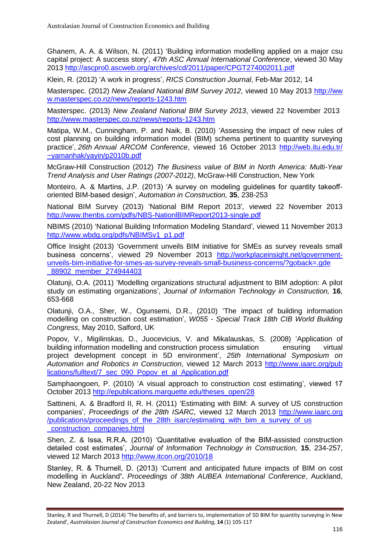Ghanem, A. A. & Wilson, N. (2011) 'Building information modelling applied on a major csu capital project: A success story', *47th ASC Annual International Conference*, viewed 30 May 2013 [http://ascpro0.ascweb.org/archives/cd/2011/paper/CPGT274002011.pdf](http://‌/ascpro0‌.ascweb.‌org/‌archives‌/cd/2011‌/paper‌/CPGT274002011‌.pdf)

Klein, R. (2012) 'A work in progress', *RICS Construction Journal*, Feb-Mar 2012, 14

Masterspec. (2012) *New Zealand National BIM Survey 2012*, viewed 10 May 2013 [http://ww](http://‌/‌ww‌w.masterspec.co.nz/news/reports-1243.htm) [w.masterspec.co.nz/news/reports-1243.htm](http://‌/‌ww‌w.masterspec.co.nz/news/reports-1243.htm)

Masterspec. (2013) *New Zealand National BIM Survey 2013*, viewed 22 November 2013 [http://www.masterspec.co.nz/news/reports-1243.htm](http://‌/‌ww‌w.masterspec.co.nz/news/reports-1243.htm)

Matipa, W.M., Cunningham, P. and Naik, B. (2010) 'Assessing the impact of new rules of cost planning on building information model (BIM) schema pertinent to quantity surveying practice', *26th Annual ARCOM Conference*, viewed 16 October 2013 [http://web.itu.edu.tr/](http://‌/web‌.itu‌.edu.tr/‌~yam‌anhak‌/yayin/p2010b.pdf) [~yamanhak/yayin/p2010b.pdf](http://‌/web‌.itu‌.edu.tr/‌~yam‌anhak‌/yayin/p2010b.pdf)

McGraw-Hill Construction (2012) *The Business value of BIM in North America: Multi-Year Trend Analysis and User Ratings (2007-2012)*, McGraw-Hill Construction, New York

Monteiro, A. & Martins, J.P. (2013) 'A survey on modeling guidelines for quantity takeofforiented BIM-based design', *Automation in Construction,* **35**, 238-253

National BIM Survey (2013) 'National BIM Report 2013'*,* viewed 22 November 2013 <http://www.thenbs.com/pdfs/NBS-NationlBIMReport2013-single.pdf>

NBIMS (2010) 'National Building Information Modeling Standard'*,* viewed 11 November 2013 [http://www.wbdg.org/pdfs/NBIMSv1\\_p1.pdf](http://www.wbdg.org/pdfs/NBIMSv1_p1.pdf)

Office Insight (2013) 'Government unveils BIM initiative for SMEs as survey reveals small business concerns', viewed 29 November 2013 [http://workplaceinsight.net/government](http://workplaceinsight.net/government-unveils-bim-initiative-for-smes-as-survey-reveals-small-business-concerns/?goback=.gde_88902_member_274944403)[unveils-bim-initiative-for-smes-as-survey-reveals-small-business-concerns/?goback=.gde](http://workplaceinsight.net/government-unveils-bim-initiative-for-smes-as-survey-reveals-small-business-concerns/?goback=.gde_88902_member_274944403) [\\_88902\\_member\\_274944403](http://workplaceinsight.net/government-unveils-bim-initiative-for-smes-as-survey-reveals-small-business-concerns/?goback=.gde_88902_member_274944403)

Olatunji, O.A. (2011) 'Modelling organizations structural adjustment to BIM adoption: A pilot study on estimating organizations', *Journal of Information Technology in Construction,* **16**, 653-668

Olatunji, O.A., Sher, W., Ogunsemi, D.R., (2010) 'The impact of building information modelling on construction cost estimation', *W055 - Special Track 18th CIB World Building Congress*, May 2010, Salford, UK

Popov, V., Migilinskas, D., Juocevicius, V. and Mikalauskas, S. (2008) 'Application of building information modelling and construction process simulation ensuring virtual project development concept in 5D environment', *25th International Symposium on Automation and Robotics in Construction*, viewed 12 March 2013 [http://www.iaarc.org/pub](http://‌/‌www‌.iaarc.org/publications/fulltext/7_sec_090_Popov_et_al_Application.pdf) [lications/fulltext/7\\_sec\\_090\\_Popov\\_et\\_al\\_Application.pdf](http://‌/‌www‌.iaarc.org/publications/fulltext/7_sec_090_Popov_et_al_Application.pdf)

Samphaongoen, P. (2010) 'A visual approach to construction cost estimating', viewed 17 October 2013 [http://epublications.marquette.edu/theses\\_open/28](http://epublications.marquette.edu/theses_open/28)

Sattineni, A. & Bradford II, R. H. (2011) 'Estimating with BIM: A survey of US construction companies', *Proceedings of the 28th ISARC,* viewed 12 March 2013 [http://www.iaarc.org](http://www.iaarc.org/publications‌/proceedings_‌of_the‌_2‌8th_isarc/estimating_with_bim_a_survey_of_us_construction_companies.html) [/publications/proceedings\\_of\\_the\\_28th\\_isarc/estimating\\_with\\_bim\\_a\\_survey\\_of\\_us](http://www.iaarc.org/publications‌/proceedings_‌of_the‌_2‌8th_isarc/estimating_with_bim_a_survey_of_us_construction_companies.html) [\\_construction\\_companies.html](http://www.iaarc.org/publications‌/proceedings_‌of_the‌_2‌8th_isarc/estimating_with_bim_a_survey_of_us_construction_companies.html)

Shen, Z. & Issa, R.R.A. (2010) 'Quantitative evaluation of the BIM-assisted construction detailed cost estimates', *Journal of Information Technology in Construction,* **15**, 234-257, viewed 12 March 2013<http://www.itcon.org/2010/18>

Stanley, R. & Thurnell, D. (2013) 'Current and anticipated future impacts of BIM on cost modelling in Auckland**'.** *Proceedings of 38th AUBEA International Conference*, Auckland, New Zealand, 20-22 Nov 2013